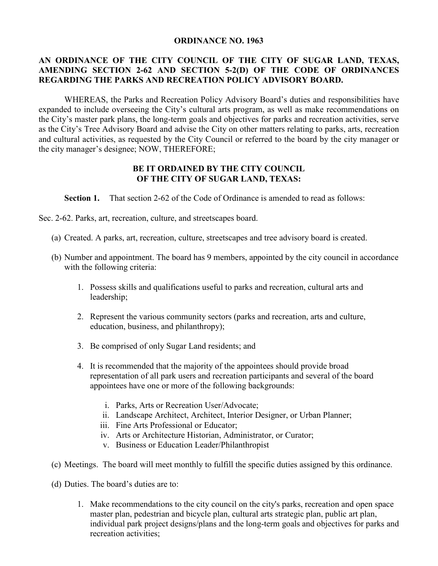## **ORDINANCE NO. 1963**

## **AN ORDINANCE OF THE CITY COUNCIL OF THE CITY OF SUGAR LAND, TEXAS, AMENDING SECTION 2-62 AND SECTION 5-2(D) OF THE CODE OF ORDINANCES REGARDING THE PARKS AND RECREATION POLICY ADVISORY BOARD.**

 WHEREAS, the Parks and Recreation Policy Advisory Board's duties and responsibilities have expanded to include overseeing the City's cultural arts program, as well as make recommendations on the City's master park plans, the long-term goals and objectives for parks and recreation activities, serve as the City's Tree Advisory Board and advise the City on other matters relating to parks, arts, recreation and cultural activities, as requested by the City Council or referred to the board by the city manager or the city manager's designee; NOW, THEREFORE;

## **BE IT ORDAINED BY THE CITY COUNCIL OF THE CITY OF SUGAR LAND, TEXAS:**

**Section 1.** That section 2-62 of the Code of Ordinance is amended to read as follows:

Sec. 2-62. Parks, art, recreation, culture, and streetscapes board.

- (a) Created. A parks, art, recreation, culture, streetscapes and tree advisory board is created.
- (b) Number and appointment. The board has 9 members, appointed by the city council in accordance with the following criteria:
	- 1. Possess skills and qualifications useful to parks and recreation, cultural arts and leadership;
	- 2. Represent the various community sectors (parks and recreation, arts and culture, education, business, and philanthropy);
	- 3. Be comprised of only Sugar Land residents; and
	- 4. It is recommended that the majority of the appointees should provide broad representation of all park users and recreation participants and several of the board appointees have one or more of the following backgrounds:
		- i. Parks, Arts or Recreation User/Advocate;
		- ii. Landscape Architect, Architect, Interior Designer, or Urban Planner;
		- iii. Fine Arts Professional or Educator;
		- iv. Arts or Architecture Historian, Administrator, or Curator;
		- v. Business or Education Leader/Philanthropist
- (c) Meetings. The board will meet monthly to fulfill the specific duties assigned by this ordinance.
- (d) Duties. The board's duties are to:
	- 1. Make recommendations to the city council on the city's parks, recreation and open space master plan, pedestrian and bicycle plan, cultural arts strategic plan, public art plan, individual park project designs/plans and the long-term goals and objectives for parks and recreation activities;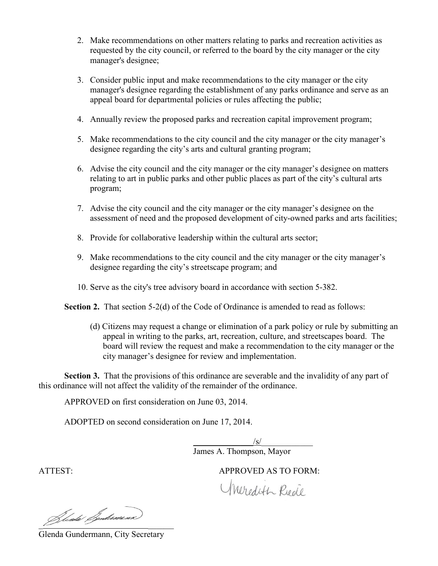- 2. Make recommendations on other matters relating to parks and recreation activities as requested by the city council, or referred to the board by the city manager or the city manager's designee; requested by the city council, or referred to the board by the city manager or the c<br>manager's designee;<br>3. Consider public input and make recommendations to the city manager or the city
- manager's designee regarding the establishment of any parks ordinance and serve as an appeal board for departmental policies or rules affecting the public;
- 4. Annually review the proposed parks and recreation capital improvement program;
- 5. Make recommendations to the city council and the city manager or the city manager's designee regarding the city's arts and cultural granting program; I board for departmental policies or rules affecting the pub<br>
I ally review the proposed parks and recreation capital impro-<br>
I recommendations to the city council and the city manager<br>
I recommendations to the city counci
- 6. Advise the city council and the city manager or the city manager's designee on matters relating to art in public parks and other public places as part of the city's cultural arts program; 6. Advise the city council and the city manager or the city manager's designee on mat relating to art in public parks and other public places as part of the city's cultural ar program;<br>7. Advise the city council and the ci
- assessment of need and the proposed development of city-owned parks and arts facilities;
- 8. Provide for collaborative leadership within the cultural arts sector;
- 9. Make recommendations to the city council and the city manager or the city manager's designee regarding the city's streetscape program; and 9. Make recommendations to the city council and the city manager or the designee regarding the city's streetscape program; and 10. Serve as the city's tree advisory board in accordance wit[h section 5-382](http://library.municode.com/HTML/14380/level3/PTIICOOR_CH5PUPRSE_ARTXTRPUPR.html#PTIICOOR_CH5PUPRSE_ARTXTRPUPR_S5-382TRADBO) owned parks a<br>s sector;<br>mager or the ci<br>section 5-382.
- 

**Section 2.** That section 5-2(d) of the Code of Ordinance is amended to read as follows:

(d) Citizens may request a change or elimination of a park policy or rule by submitting an Citizens may request a change or elimination of a park policy or rule by submitting<br>appeal in writing to the parks, art, recreation, culture, and streetscapes board. The board will review the request and make a recommendation to the city manager or the city manager's designee for review and implementation.

**Section 3.** That the provisions of this ordinance are severable and the invalidity of any part of this ordinance will not affect the validity of the remainder of the ordinance. board will review the request and make a recommendation to the city manager or the<br>city manager's designee for review and implementation.<br>Section 3. That the provisions of this ordinance are severable and the invalidity of

APPROVED on first consideration on June 03, 2014.

ADOPTED on second consideration on June 17, 2014.

 $\sqrt{s/2}$ James A. Thompson, Mayor

ATTEST:

APPROVED AS TO FORM:

Meredith Rede

Hents Bendemann

Glenda Gundermann, City Secretary Secretary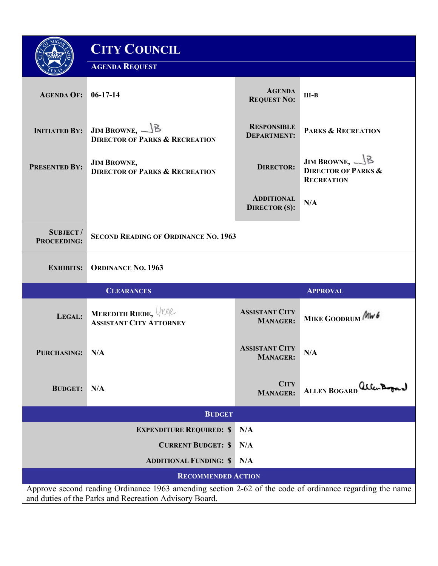|                                                                                                                                                                   | <b>CITY COUNCIL</b>                                                  |                                           |                                                                                                   |
|-------------------------------------------------------------------------------------------------------------------------------------------------------------------|----------------------------------------------------------------------|-------------------------------------------|---------------------------------------------------------------------------------------------------|
|                                                                                                                                                                   | <b>AGENDA REQUEST</b>                                                |                                           |                                                                                                   |
| <b>AGENDA OF:</b>                                                                                                                                                 | $06-17-14$                                                           | <b>AGENDA</b><br><b>REQUEST NO:</b>       | $III-B$                                                                                           |
| <b>INITIATED BY:</b>                                                                                                                                              | JIM BROWNE, $\bigcup$ B<br><b>DIRECTOR OF PARKS &amp; RECREATION</b> | <b>RESPONSIBLE</b><br><b>DEPARTMENT:</b>  | <b>PARKS &amp; RECREATION</b>                                                                     |
| <b>PRESENTED BY:</b>                                                                                                                                              | <b>JIM BROWNE,</b><br><b>DIRECTOR OF PARKS &amp; RECREATION</b>      | <b>DIRECTOR:</b>                          | <b>JIM BROWNE, <math>\mathbb{B}</math></b><br><b>DIRECTOR OF PARKS &amp;</b><br><b>RECREATION</b> |
|                                                                                                                                                                   |                                                                      | <b>ADDITIONAL</b><br><b>DIRECTOR</b> (S): | N/A                                                                                               |
| <b>SUBJECT/</b><br><b>PROCEEDING:</b>                                                                                                                             | <b>SECOND READING OF ORDINANCE NO. 1963</b>                          |                                           |                                                                                                   |
| <b>EXHIBITS:</b>                                                                                                                                                  | <b>ORDINANCE NO. 1963</b>                                            |                                           |                                                                                                   |
|                                                                                                                                                                   | <b>CLEARANCES</b>                                                    |                                           | <b>APPROVAL</b>                                                                                   |
| LEGAL:                                                                                                                                                            | <b>MEREDITH RIEDE, WAR</b><br><b>ASSISTANT CITY ATTORNEY</b>         | <b>ASSISTANT CITY</b><br><b>MANAGER:</b>  | MIKE GOODRUM MW6                                                                                  |
| PURCHASING: N/A                                                                                                                                                   |                                                                      | <b>ASSISTANT CITY</b><br><b>MANAGER:</b>  | N/A                                                                                               |
| <b>BUDGET:</b>                                                                                                                                                    | N/A                                                                  | <b>CITY</b><br><b>MANAGER:</b>            | ALLEN BOGARD allen Bogard                                                                         |
| <b>BUDGET</b>                                                                                                                                                     |                                                                      |                                           |                                                                                                   |
| <b>EXPENDITURE REQUIRED: \$</b><br>N/A                                                                                                                            |                                                                      |                                           |                                                                                                   |
| <b>CURRENT BUDGET: \$</b>                                                                                                                                         |                                                                      | N/A                                       |                                                                                                   |
|                                                                                                                                                                   | <b>ADDITIONAL FUNDING: \$</b>                                        | N/A                                       |                                                                                                   |
| <b>RECOMMENDED ACTION</b>                                                                                                                                         |                                                                      |                                           |                                                                                                   |
| Approve second reading Ordinance 1963 amending section 2-62 of the code of ordinance regarding the name<br>and duties of the Parks and Recreation Advisory Board. |                                                                      |                                           |                                                                                                   |